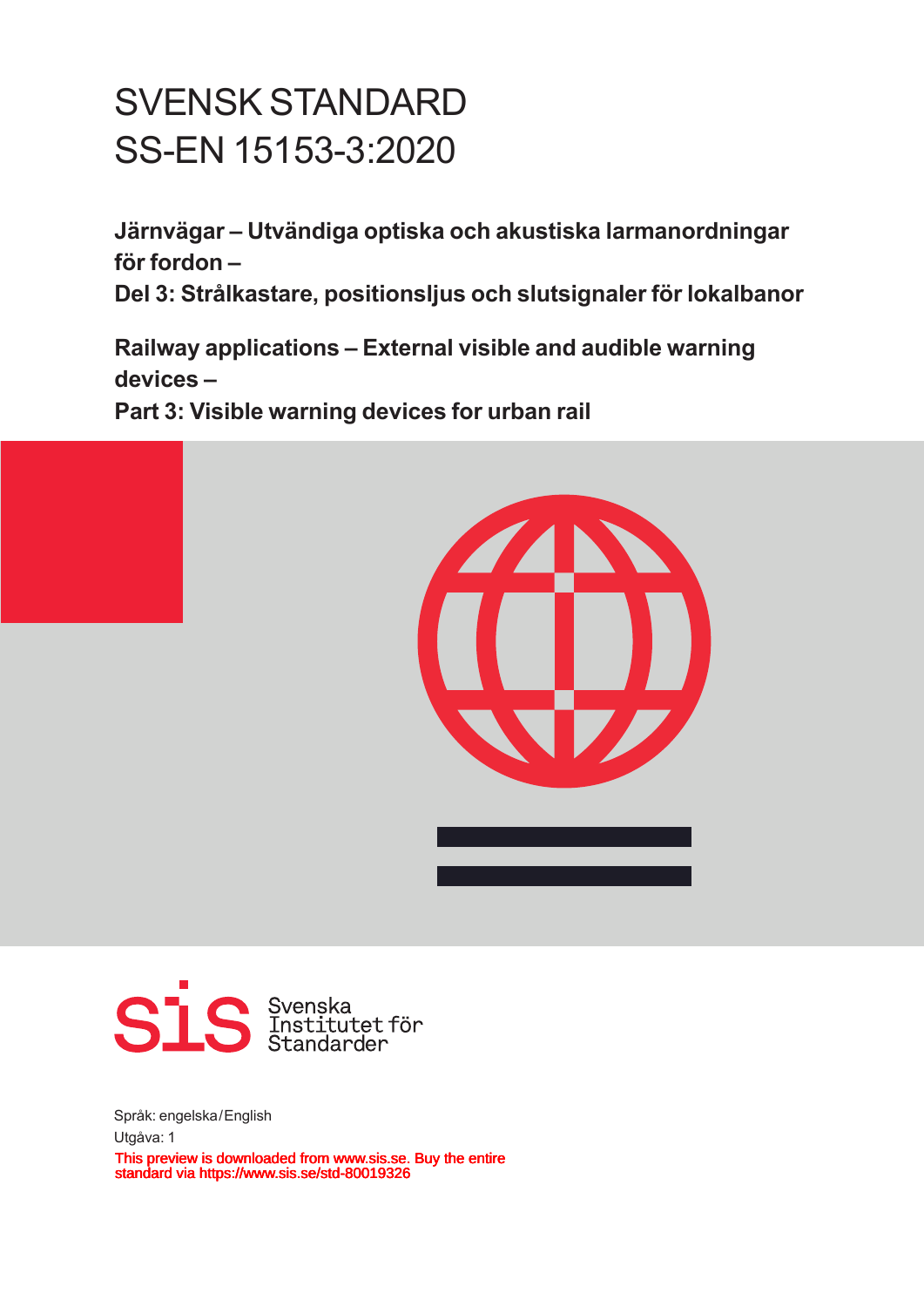# SS-EN 15153-3:2020 SVENSK STANDARD

**Järnvägar – Utvändiga optiska och akustiska larmanordningar för fordon –**

**Del 3: Strålkastare, positionsljus och slutsignaler för lokalbanor**

**Railway applications – External visible and audible warning devices –**

**Part 3: Visible warning devices for urban rail**





Språk: engelska/English Utgåva: 1 This preview is downloaded from www.sis.se. Buy the entire standard via https://www.sis.se/std-80019326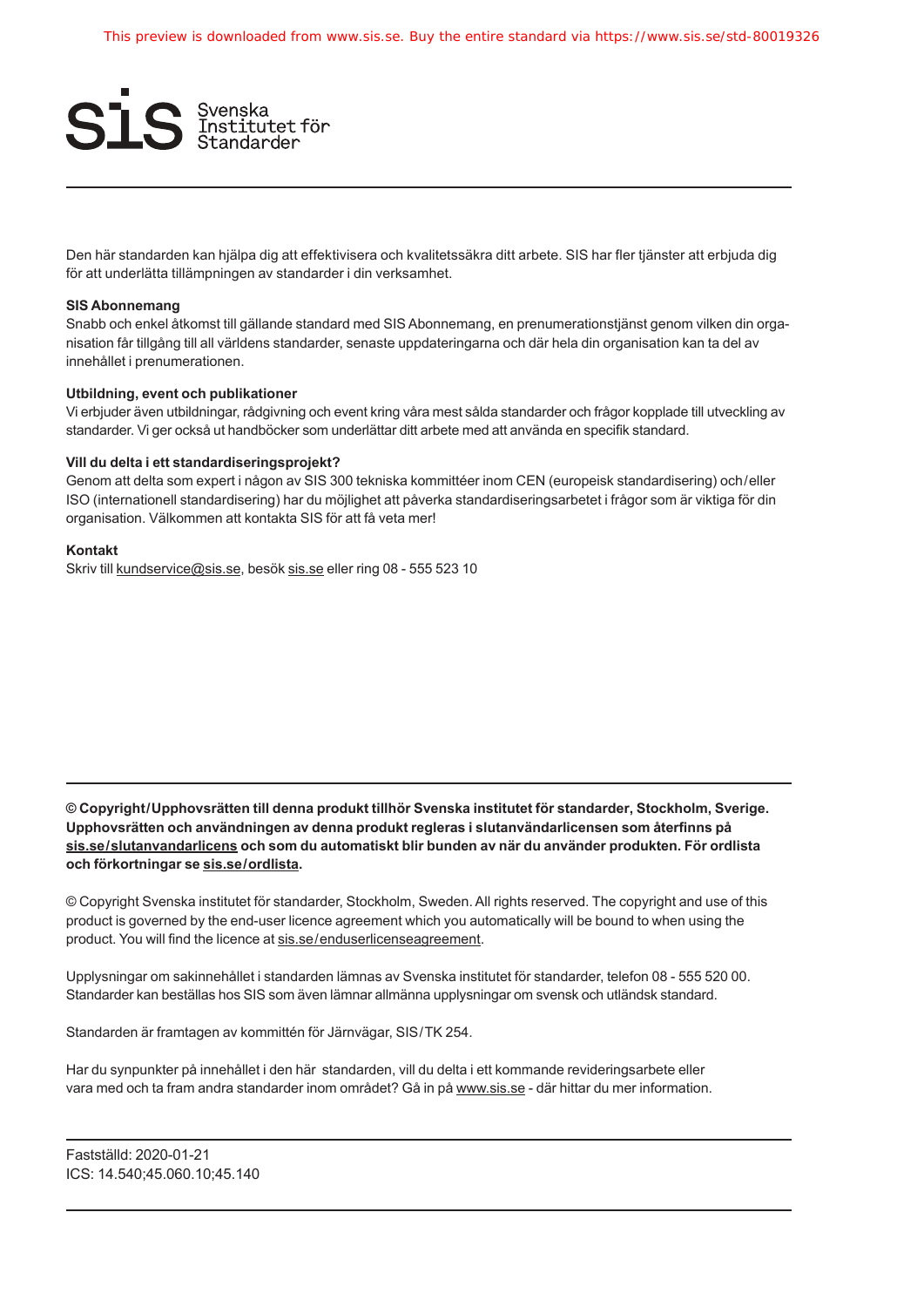

Den här standarden kan hjälpa dig att effektivisera och kvalitetssäkra ditt arbete. SIS har fler tjänster att erbjuda dig för att underlätta tillämpningen av standarder i din verksamhet.

#### **SIS Abonnemang**

Snabb och enkel åtkomst till gällande standard med SIS Abonnemang, en prenumerationstjänst genom vilken din organisation får tillgång till all världens standarder, senaste uppdateringarna och där hela din organisation kan ta del av innehållet i prenumerationen.

#### **Utbildning, event och publikationer**

Vi erbjuder även utbildningar, rådgivning och event kring våra mest sålda standarder och frågor kopplade till utveckling av standarder. Vi ger också ut handböcker som underlättar ditt arbete med att använda en specifik standard.

#### **Vill du delta i ett standardiseringsprojekt?**

Genom att delta som expert i någon av SIS 300 tekniska kommittéer inom CEN (europeisk standardisering) och / eller ISO (internationell standardisering) har du möjlighet att påverka standardiseringsarbetet i frågor som är viktiga för din organisation. Välkommen att kontakta SIS för att få veta mer!

#### **Kontakt**

Skriv till [kundservice@sis.se](mailto:kundservice%40sis.se?subject=kontakt), besök [sis.se](https://www.sis.se) eller ring 08 - 555 523 10

**© Copyright / Upphovsrätten till denna produkt tillhör Svenska institutet för standarder, Stockholm, Sverige. Upphovsrätten och användningen av denna produkt regleras i slutanvändarlicensen som återfinns på [sis.se / slutanvandarlicens](https://www.sis.se/slutanvandarlicens) och som du automatiskt blir bunden av när du använder produkten. För ordlista och förkortningar se sis.se / [ordlista.](https://www.sis.se/ordlista)**

© Copyright Svenska institutet för standarder, Stockholm, Sweden. All rights reserved. The copyright and use of this product is governed by the end-user licence agreement which you automatically will be bound to when using the product. You will find the licence at sis.se/enduserlicenseagreement.

Upplysningar om sakinnehållet i standarden lämnas av Svenska institutet för standarder, telefon 08 - 555 520 00. Standarder kan beställas hos SIS som även lämnar allmänna upplysningar om svensk och utländsk standard.

Standarden är framtagen av kommittén för Järnvägar, SIS / TK 254.

Har du synpunkter på innehållet i den här standarden, vill du delta i ett kommande revideringsarbete eller vara med och ta fram andra standarder inom området? Gå in på [www.sis.se](https://www.sis.se) - där hittar du mer information.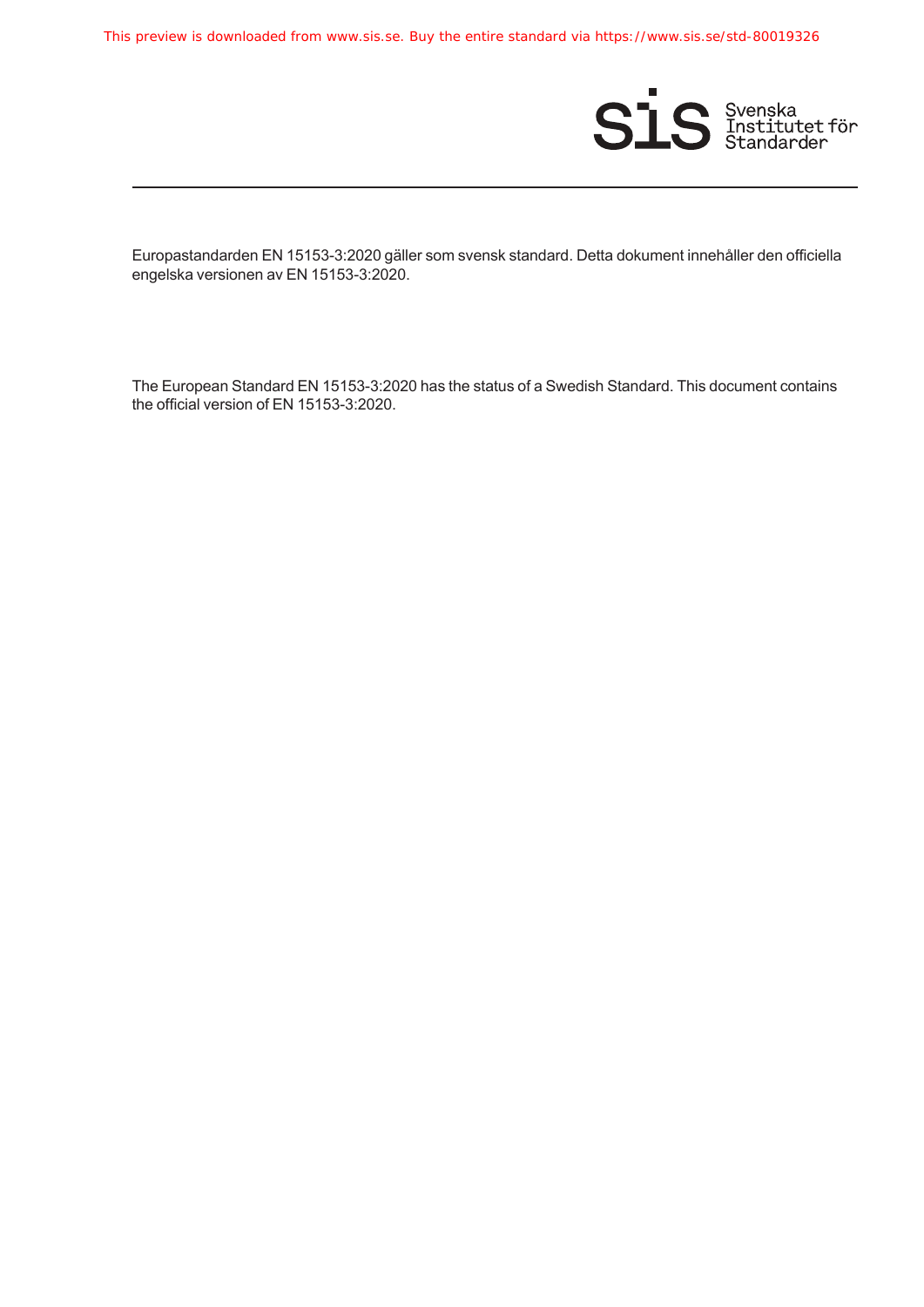This preview is downloaded from www.sis.se. Buy the entire standard via https://www.sis.se/std-80019326



Europastandarden EN 15153-3:2020 gäller som svensk standard. Detta dokument innehåller den officiella engelska versionen av EN 15153-3:2020.

The European Standard EN 15153-3:2020 has the status of a Swedish Standard. This document contains the official version of EN 15153-3:2020.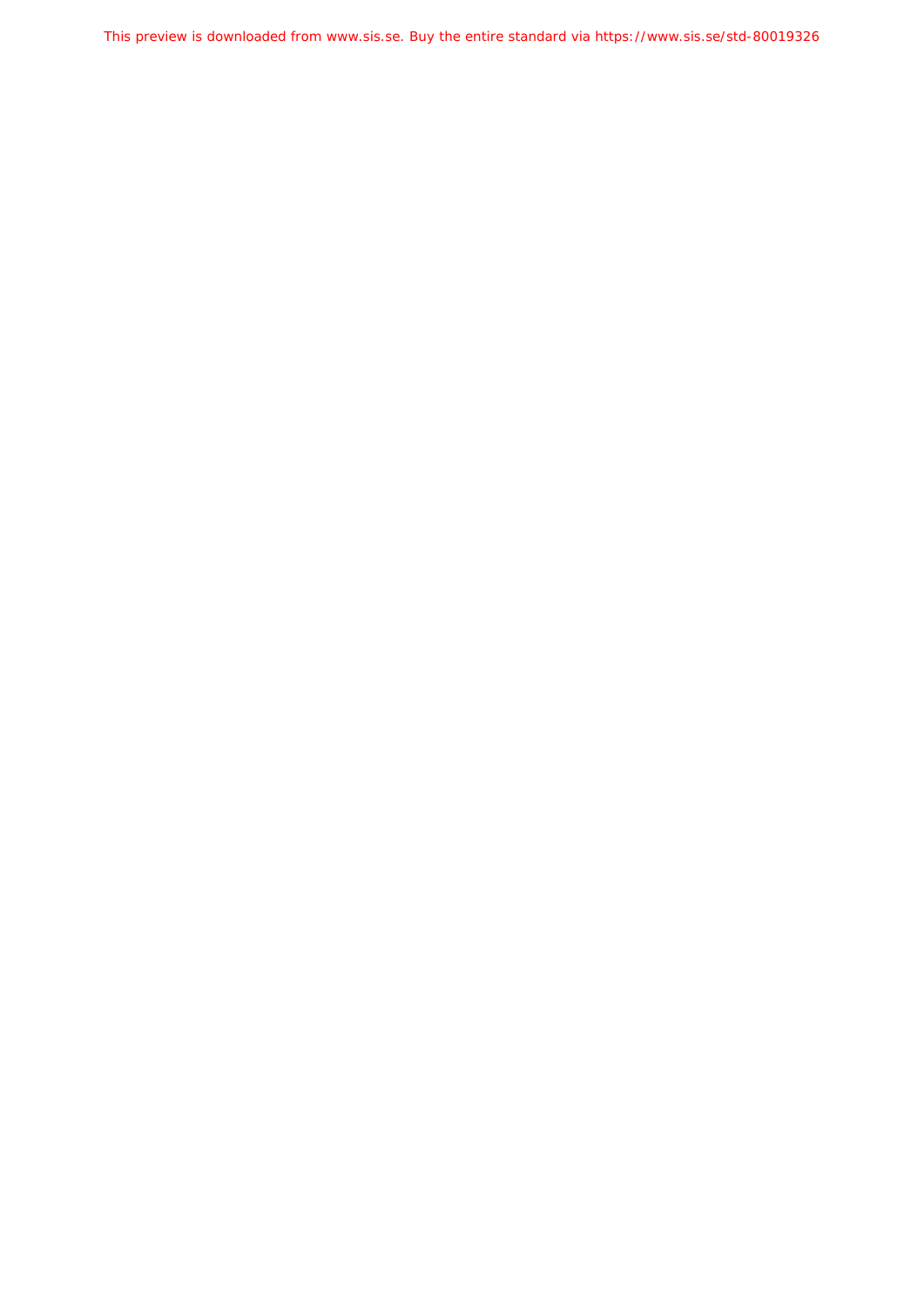This preview is downloaded from www.sis.se. Buy the entire standard via https://www.sis.se/std-80019326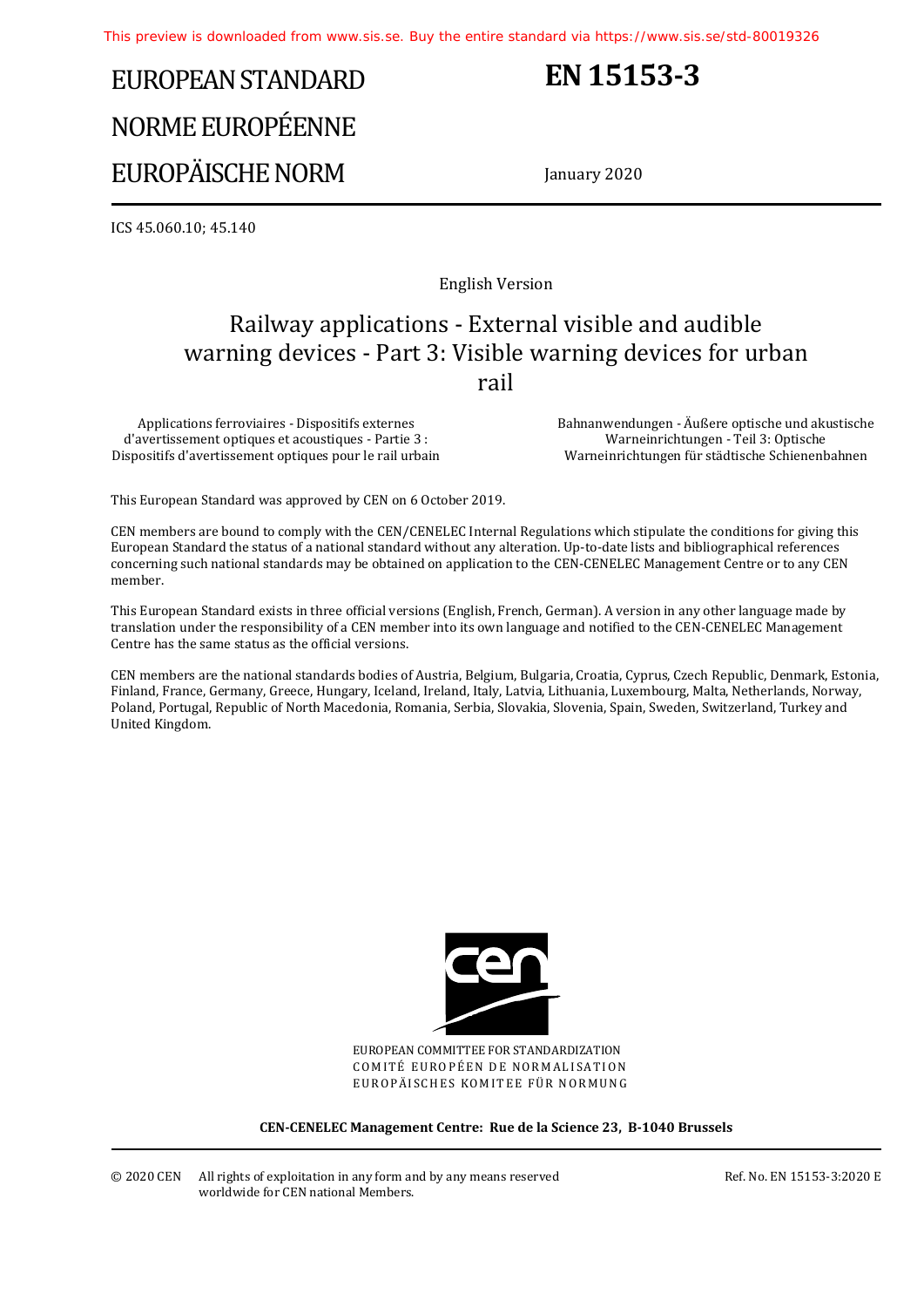# EUROPEAN STANDARD NORME EUROPÉENNE EUROPÄISCHE NORM

# **EN 15153-3**

January 2020

ICS 45.060.10; 45.140

English Version

# Railway applications - External visible and audible warning devices - Part 3: Visible warning devices for urban rail

Applications ferroviaires - Dispositifs externes d'avertissement optiques et acoustiques - Partie 3 : Dispositifs d'avertissement optiques pour le rail urbain  Bahnanwendungen - Äußere optische und akustische Warneinrichtungen - Teil 3: Optische Warneinrichtungen für städtische Schienenbahnen

This European Standard was approved by CEN on 6 October 2019.

CEN members are bound to comply with the CEN/CENELEC Internal Regulations which stipulate the conditions for giving this European Standard the status of a national standard without any alteration. Up-to-date lists and bibliographical references concerning such national standards may be obtained on application to the CEN-CENELEC Management Centre or to any CEN member.

This European Standard exists in three official versions (English, French, German). A version in any other language made by translation under the responsibility of a CEN member into its own language and notified to the CEN-CENELEC Management Centre has the same status as the official versions.

CEN members are the national standards bodies of Austria, Belgium, Bulgaria, Croatia, Cyprus, Czech Republic, Denmark, Estonia, Finland, France, Germany, Greece, Hungary, Iceland, Ireland, Italy, Latvia, Lithuania, Luxembourg, Malta, Netherlands, Norway, Poland, Portugal, Republic of North Macedonia, Romania, Serbia, Slovakia, Slovenia, Spain, Sweden, Switzerland, Turkey and United Kingdom.



EUROPEAN COMMITTEE FOR STANDARDIZATION COMITÉ EUROPÉEN DE NORMALISATION EUROPÄISCHES KOMITEE FÜR NORMUNG

**CEN-CENELEC Management Centre: Rue de la Science 23, B-1040 Brussels** 

Ref. No. EN 15153-3:2020 E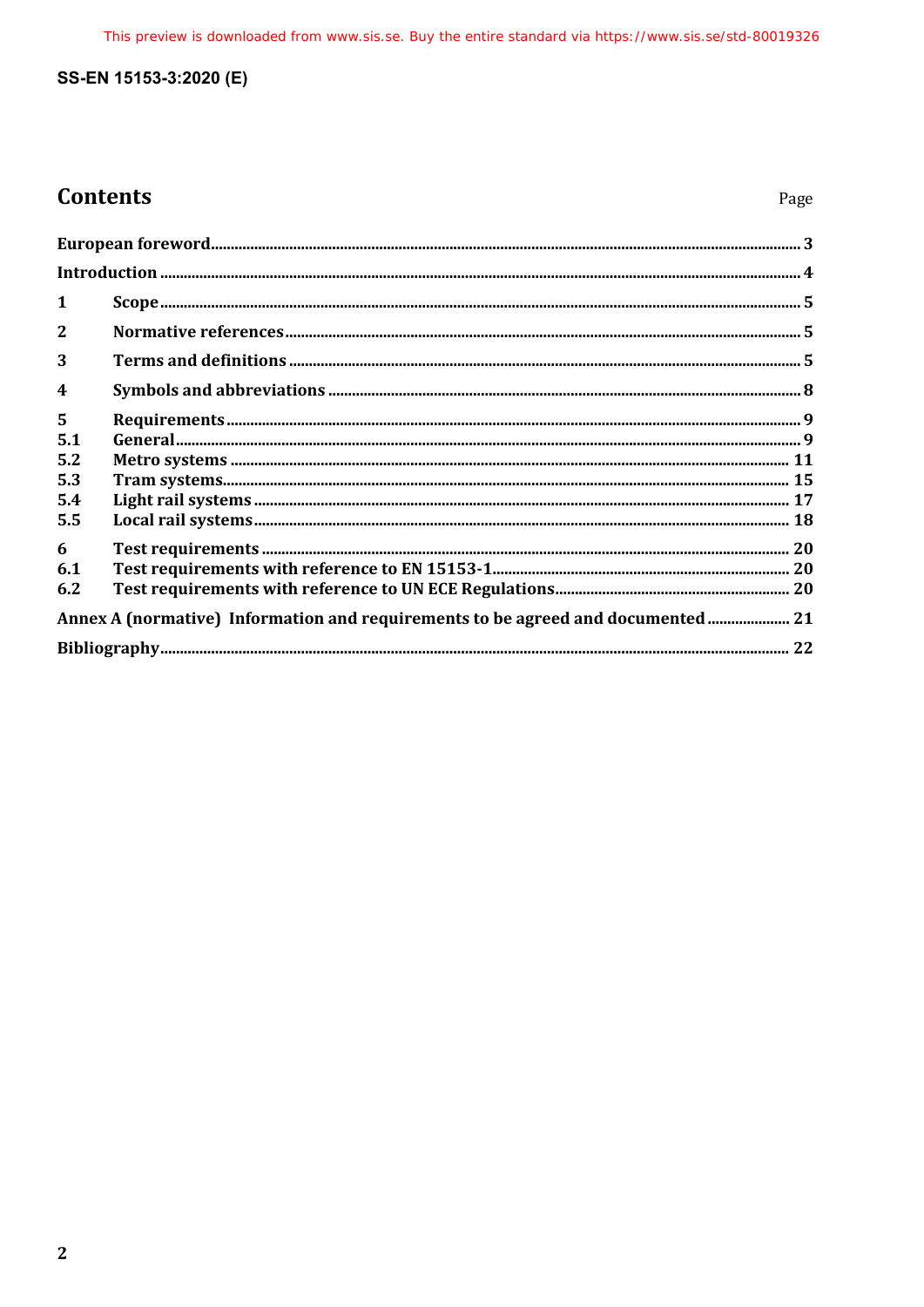# **Contents**

| 1                                                                                |  |  |
|----------------------------------------------------------------------------------|--|--|
| $\mathbf{2}$                                                                     |  |  |
| 3                                                                                |  |  |
| $\overline{\mathbf{4}}$                                                          |  |  |
| $\overline{5}$                                                                   |  |  |
| 5.1                                                                              |  |  |
| 5.2                                                                              |  |  |
| 5.3                                                                              |  |  |
| 5.4                                                                              |  |  |
| 5.5                                                                              |  |  |
| 6                                                                                |  |  |
| 6.1                                                                              |  |  |
| 6.2                                                                              |  |  |
| Annex A (normative) Information and requirements to be agreed and documented  21 |  |  |
|                                                                                  |  |  |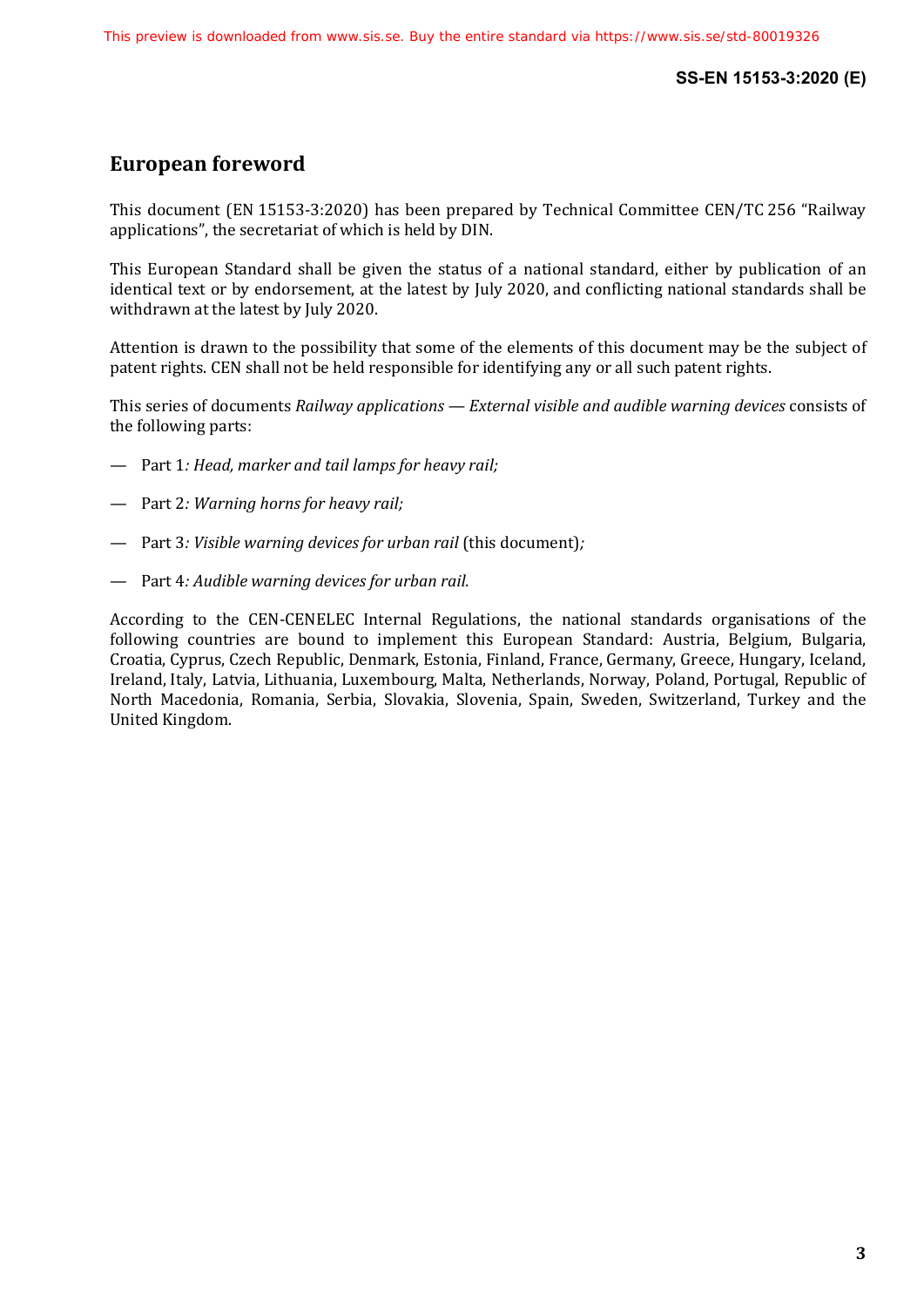# <span id="page-6-0"></span>**European foreword**

This document (EN 15153-3:2020) has been prepared by Technical Committee CEN/TC 256 "Railway applications", the secretariat of which is held by DIN.

This European Standard shall be given the status of a national standard, either by publication of an identical text or by endorsement, at the latest by July 2020, and conflicting national standards shall be withdrawn at the latest by July 2020.

Attention is drawn to the possibility that some of the elements of this document may be the subject of patent rights. CEN shall not be held responsible for identifying any or all such patent rights.

This series of documents *Railway applications — External visible and audible warning devices* consists of the following parts:

- *—* Part 1*: Head, marker and tail lamps for heavy rail;*
- *—* Part 2*: Warning horns for heavy rail;*
- *—* Part 3*: Visible warning devices for urban rail* (this document)*;*
- *—* Part 4*: Audible warning devices for urban rail.*

According to the CEN-CENELEC Internal Regulations, the national standards organisations of the following countries are bound to implement this European Standard: Austria, Belgium, Bulgaria, Croatia, Cyprus, Czech Republic, Denmark, Estonia, Finland, France, Germany, Greece, Hungary, Iceland, Ireland, Italy, Latvia, Lithuania, Luxembourg, Malta, Netherlands, Norway, Poland, Portugal, Republic of North Macedonia, Romania, Serbia, Slovakia, Slovenia, Spain, Sweden, Switzerland, Turkey and the United Kingdom.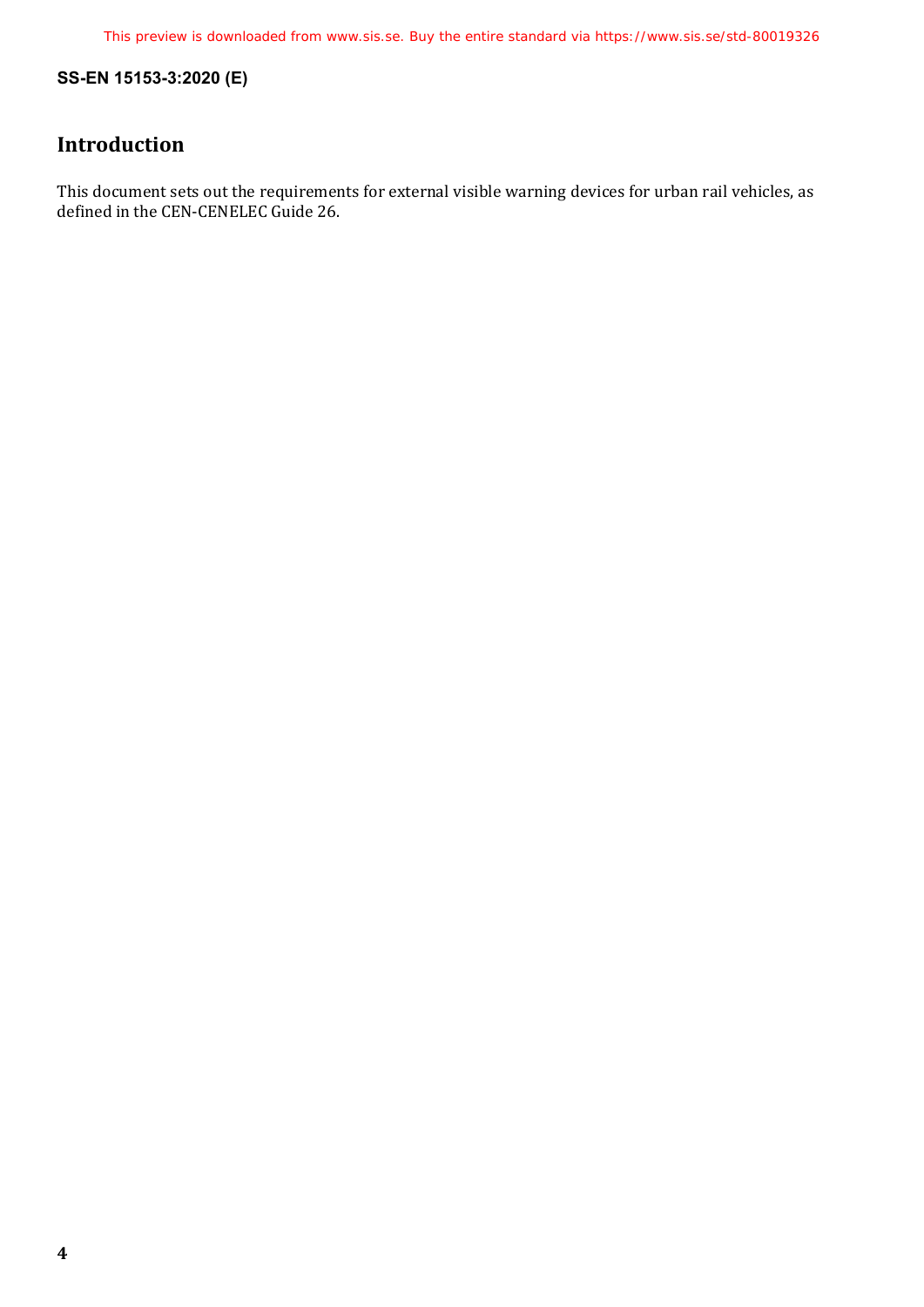# <span id="page-7-0"></span>**Introduction**

This document sets out the requirements for external visible warning devices for urban rail vehicles, as defined in the CEN-CENELEC Guide 26.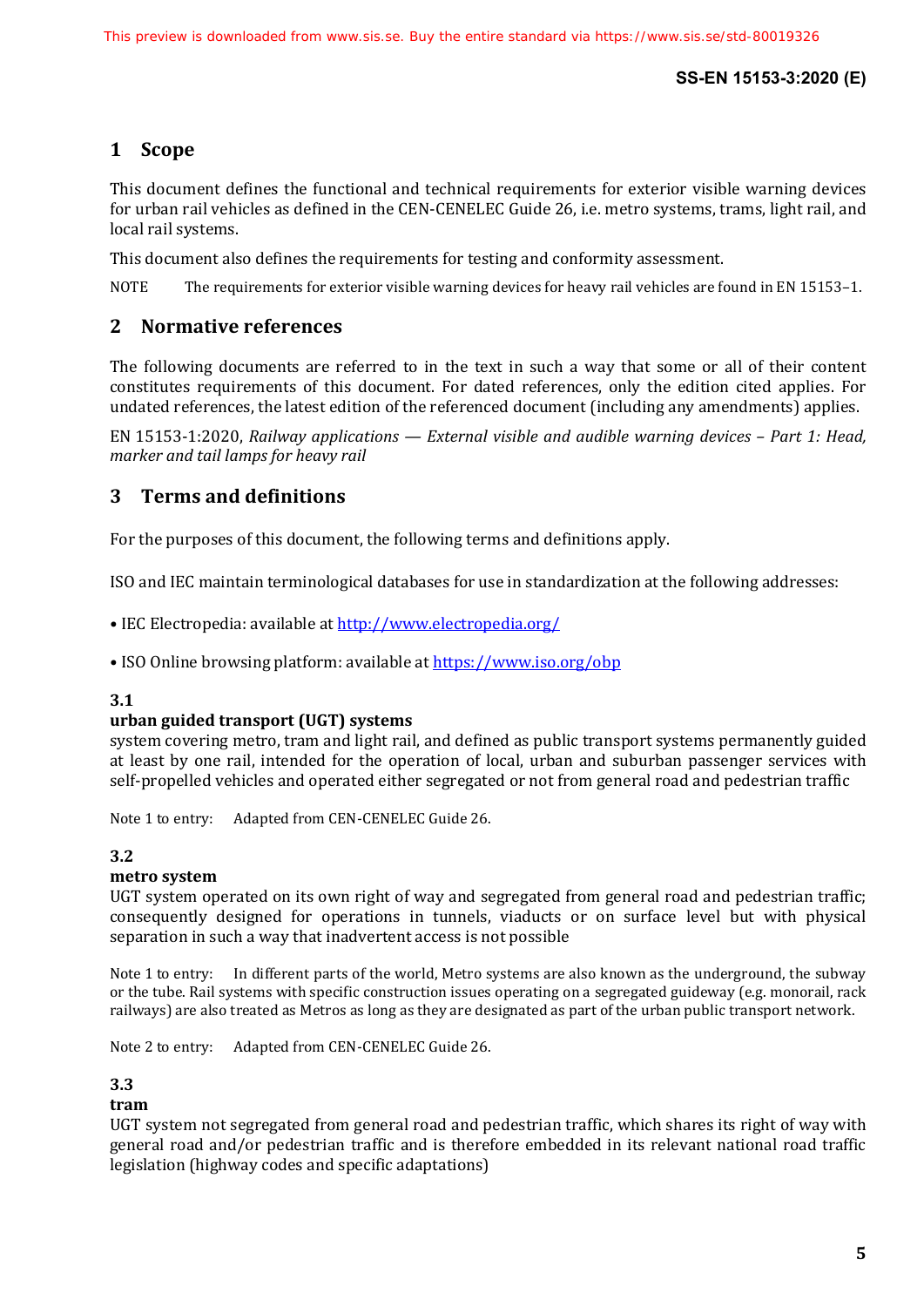# <span id="page-8-0"></span>**1 Scope**

This document defines the functional and technical requirements for exterior visible warning devices for urban rail vehicles as defined in the CEN-CENELEC Guide 26, i.e. metro systems, trams, light rail, and local rail systems.

This document also defines the requirements for testing and conformity assessment.

NOTE The requirements for exterior visible warning devices for heavy rail vehicles are found in EN 15153–1.

# <span id="page-8-1"></span>**2 Normative references**

The following documents are referred to in the text in such a way that some or all of their content constitutes requirements of this document. For dated references, only the edition cited applies. For undated references, the latest edition of the referenced document (including any amendments) applies.

EN 15153-1:2020, *Railway applications — External visible and audible warning devices – Part 1: Head, marker and tail lamps for heavy rail*

# <span id="page-8-2"></span>**3 Terms and definitions**

For the purposes of this document, the following terms and definitions apply.

ISO and IEC maintain terminological databases for use in standardization at the following addresses:

• IEC Electropedia: available at <http://www.electropedia.org/>

• ISO Online browsing platform: available at <https://www.iso.org/obp>

# **3.1**

# **urban guided transport (UGT) systems**

system covering metro, tram and light rail, and defined as public transport systems permanently guided at least by one rail, intended for the operation of local, urban and suburban passenger services with self-propelled vehicles and operated either segregated or not from general road and pedestrian traffic

Note 1 to entry: Adapted from CEN-CENELEC Guide 26.

# **3.2**

# **metro system**

UGT system operated on its own right of way and segregated from general road and pedestrian traffic; consequently designed for operations in tunnels, viaducts or on surface level but with physical separation in such a way that inadvertent access is not possible

Note 1 to entry: In different parts of the world, Metro systems are also known as the underground, the subway or the tube. Rail systems with specific construction issues operating on a segregated guideway (e.g. monorail, rack railways) are also treated as Metros as long as they are designated as part of the urban public transport network.

Note 2 to entry: Adapted from CEN-CENELEC Guide 26.

# **3.3**

# **tram**

UGT system not segregated from general road and pedestrian traffic, which shares its right of way with general road and/or pedestrian traffic and is therefore embedded in its relevant national road traffic legislation (highway codes and specific adaptations)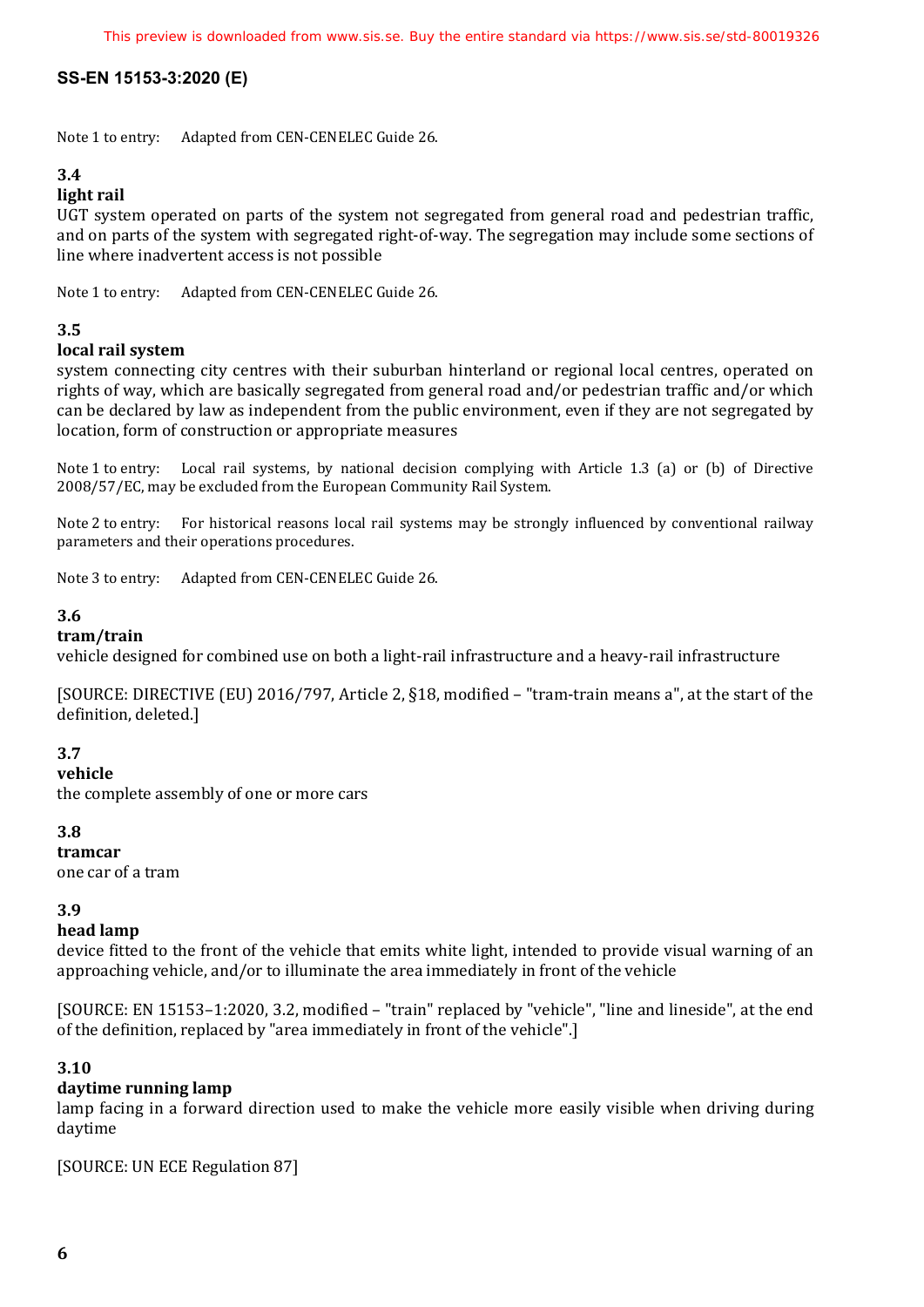Note 1 to entry: Adapted from CEN-CENELEC Guide 26.

# **3.4**

# **light rail**

UGT system operated on parts of the system not segregated from general road and pedestrian traffic, and on parts of the system with segregated right-of-way. The segregation may include some sections of line where inadvertent access is not possible

Note 1 to entry: Adapted from CEN-CENELEC Guide 26.

# **3.5**

# **local rail system**

system connecting city centres with their suburban hinterland or regional local centres, operated on rights of way, which are basically segregated from general road and/or pedestrian traffic and/or which can be declared by law as independent from the public environment, even if they are not segregated by location, form of construction or appropriate measures

Note 1 to entry: Local rail systems, by national decision complying with Article 1.3 (a) or (b) of Directive 2008/57/EC, may be excluded from the European Community Rail System.

Note 2 to entry: For historical reasons local rail systems may be strongly influenced by conventional railway parameters and their operations procedures.

Note 3 to entry: Adapted from CEN-CENELEC Guide 26.

# **3.6**

### **tram/train**

vehicle designed for combined use on both a light-rail infrastructure and a heavy-rail infrastructure

[SOURCE: DIRECTIVE (EU) 2016/797, Article 2, §18, modified – "tram-train means a", at the start of the definition, deleted.]

#### **3.7**

#### **vehicle**

the complete assembly of one or more cars

#### **3.8**

#### **tramcar**

one car of a tram

# **3.9**

#### **head lamp**

device fitted to the front of the vehicle that emits white light, intended to provide visual warning of an approaching vehicle, and/or to illuminate the area immediately in front of the vehicle

[SOURCE: EN 15153–1:2020, 3.2, modified – "train" replaced by "vehicle", "line and lineside", at the end of the definition, replaced by "area immediately in front of the vehicle".]

# **3.10**

#### **daytime running lamp**

lamp facing in a forward direction used to make the vehicle more easily visible when driving during daytime

[SOURCE: UN ECE Regulation 87]